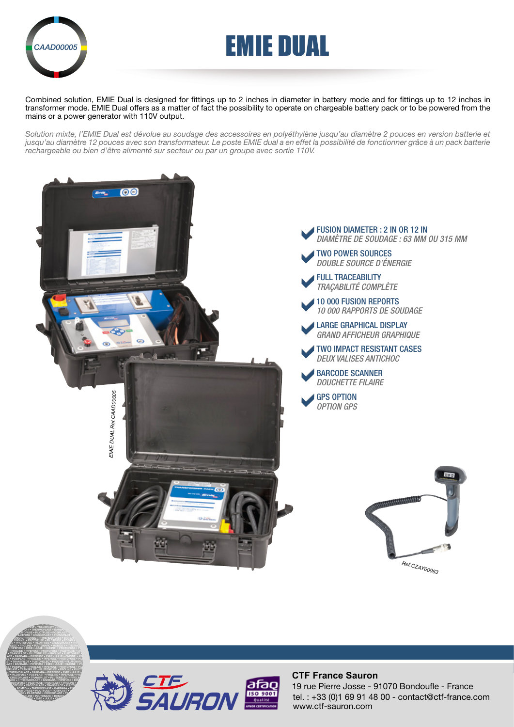

PROLINE • PIPEFUSE • PROTOFUSE • PILOTFUSE • CROCOPLAST • TRANSPILOT • THERMOPLAST • PIPEFUSE • EMIE • PILOTFUSE • PILOTFUSE • PILOTFUSE • PILOTFUSE • PRODUCTS **PILOT • TRANSPILOT • PLUT PLOTON • THERMOPLAST • BARBARA • JULIE • PILOTFUSE • POSIPLAST • PROLINE • PROPERTIES PROTOCOPLAST • TRANSPILOT • PLUT OF PROPERTIES PROVIDED + • THERMOPLAST • BARBAR EMIE • PROTOFUSE • PILOTFUSE • POSIPLAST • PROTOFUSE E** • PROTOFUSE • PILOTFUSE • CROCOPLAST • TRANSPILOTED **RE FLEC • PROLINE • PLUTONARC • ROMEO + • THERMOPLAST •** FARBARA • PIPEFUSE • EMIE • JULIE • ONDINE • PROTOFUSE • P.<br>In • Proline • Pipefuse • Protofuse • pilotfuse • crocop • TRANSPILOT • PLUTONELEC • PROLINE • PLUTONARC • ROMEO +

# *CAAD00005* EMIE DUAL

Combined solution, EMIE Dual is designed for fittings up to 2 inches in diameter in battery mode and for fittings up to 12 inches in transformer mode. EMIE Dual offers as a matter of fact the possibility to operate on chargeable battery pack or to be powered from the mains or a power generator with 110V output.

Solution mixte, l'EMIE Dual est dévolue au soudage des accessoires en polyéthylène jusqu'au diamètre 2 pouces en version batterie et *jusqu'au diamètre 12 pouces avec son transformateur. Le poste EMIE dual a en effet la possibilité de fonctionner grâce à un pack batterie rechargeable ou bien d'être alimenté sur secteur ou par un groupe avec sortie 110V.*





#### **CTF France Sauron**

tel. : +33 (0)1 69 91 48 00 - contact@ctf-france.com www.ctf-sauron.com 19 rue Pierre Josse - 91070 Bondoufle - France